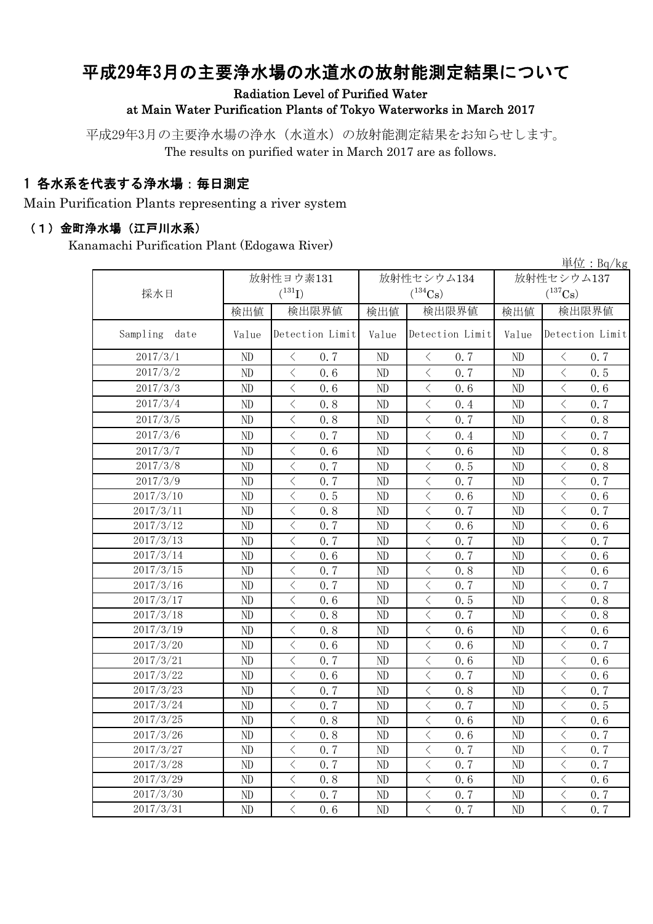# 平成29年3月の主要浄水場の水道水の放射能測定結果について

Radiation Level of Purified Water

at Main Water Purification Plants of Tokyo Waterworks in March 2017

平成29年3月の主要浄水場の浄水(水道水)の放射能測定結果をお知らせします。 The results on purified water in March 2017 are as follows.

### 1 各水系を代表する浄水場:毎日測定

Main Purification Plants representing a river system

#### (1)金町浄水場(江戸川水系)

Kanamachi Purification Plant (Edogawa River)

|                  | 単位: $Bq/kg$ |                                                 |          |                                                 |            |                                                                                                                                                                      |  |  |  |
|------------------|-------------|-------------------------------------------------|----------|-------------------------------------------------|------------|----------------------------------------------------------------------------------------------------------------------------------------------------------------------|--|--|--|
|                  | 放射性ヨウ素131   |                                                 |          | 放射性セシウム134                                      | 放射性セシウム137 |                                                                                                                                                                      |  |  |  |
| 採水日              |             | $(^{131}I)$                                     |          | $(^{134}Cs)$                                    |            | $(^{137}\mathrm{Cs})$                                                                                                                                                |  |  |  |
|                  | 検出値         | 検出限界値                                           | 検出値      | 検出限界値                                           | 検出値        | 検出限界値                                                                                                                                                                |  |  |  |
| Sampling<br>date | Value       | Detection Limit                                 | Value    | Detection Limit                                 | Value      | Detection Limit                                                                                                                                                      |  |  |  |
| 2017/3/1         | ND          | 0.7<br>$\langle$                                | $\rm ND$ | 0.7<br>$\langle$                                | $\rm ND$   | 0.7<br>$\langle$                                                                                                                                                     |  |  |  |
| 2017/3/2         | ND          | $\langle$<br>0.6                                | $\rm ND$ | $\overline{\left\langle \right\rangle }$<br>0.7 | $\rm ND$   | $\overline{\langle}$<br>0.5                                                                                                                                          |  |  |  |
| 2017/3/3         | ND          | $\langle$<br>0, 6                               | ND       | $\langle$<br>0.6                                | ND         | $\langle$<br>0.6                                                                                                                                                     |  |  |  |
| 2017/3/4         | ND          | $\overline{\left\langle \right\rangle }$<br>0.8 | ND       | $\langle$<br>0.4                                | ND         | $\overline{\left\langle \right\rangle }$<br>0.7                                                                                                                      |  |  |  |
| 2017/3/5         | ND          | $\lt$<br>0.8                                    | ND       | $\langle$<br>0.7                                | $\rm ND$   | $\lt$<br>0.8                                                                                                                                                         |  |  |  |
| 2017/3/6         | ND          | $\,$ $\,$ $\,$<br>0.7                           | ND       | $\langle$<br>0.4                                | $\rm ND$   | $\lt$<br>0.7                                                                                                                                                         |  |  |  |
| 2017/3/7         | ND          | $\langle$<br>0.6                                | ND       | $\,$ $\,$ $\,$<br>0.6                           | ND         | $\overline{\left\langle \right\rangle }$<br>0.8                                                                                                                      |  |  |  |
| 2017/3/8         | ND          | $\,$ $\,$ $\,$<br>0.7                           | ND       | $\,$ $\,$ $\,$<br>0.5                           | ND         | $\, <\,$<br>0.8                                                                                                                                                      |  |  |  |
| 2017/3/9         | ND          | $\lt$<br>0, 7                                   | ND       | $\, \big\langle \,$<br>0.7                      | $\rm ND$   | $\langle$<br>0.7                                                                                                                                                     |  |  |  |
| 2017/3/10        | ND          | $\lt$<br>0.5                                    | ND       | $\lt$<br>0.6                                    | $\rm ND$   | $\, \big\langle \,$<br>0.6                                                                                                                                           |  |  |  |
| 2017/3/11        | ND          | $\overline{\left\langle \right\rangle }$<br>0.8 | ND       | $\langle$<br>0.7                                | $\rm ND$   | $\langle$<br>0.7                                                                                                                                                     |  |  |  |
| 2017/3/12        | $\rm ND$    | $\overline{\langle}$<br>0.7                     | ND       | $\langle$<br>0.6                                | $\rm ND$   | $\langle$<br>0.6                                                                                                                                                     |  |  |  |
| 2017/3/13        | ND          | $\langle$<br>0.7                                | ND       | $\langle$<br>0.7                                | $\rm ND$   | $\,$ $\,$ $\,$<br>0.7                                                                                                                                                |  |  |  |
| 2017/3/14        | ND          | $\,$ $\,$ $\,$<br>0.6                           | ND       | $\langle$<br>0.7                                | $\rm ND$   | $\,$ $\,$ $\,$<br>0.6                                                                                                                                                |  |  |  |
| 2017/3/15        | ND          | $\,$ $\,$ $\,$<br>0.7                           | ND       | $\lt$<br>0.8                                    | ND         | $\,$ $\,$ $\,$<br>0.6                                                                                                                                                |  |  |  |
| 2017/3/16        | $\rm ND$    | $\,$ $\,$ $\,$<br>0.7                           | ND       | $\lt$<br>0.7                                    | $\rm ND$   | $\lt$<br>0.7                                                                                                                                                         |  |  |  |
| 2017/3/17        | ND          | $\lt$<br>0.6                                    | ND       | $\langle$<br>0.5                                | $\rm ND$   | $\langle$<br>0.8                                                                                                                                                     |  |  |  |
| 2017/3/18        | ND          | $\langle$<br>0.8                                | ND       | $\langle$<br>0.7                                | ND         | $\langle$<br>0.8                                                                                                                                                     |  |  |  |
| 2017/3/19        | ND          | $\langle$<br>0.8                                | ND       | $\langle$<br>0.6                                | ND         | $\langle$<br>0, 6                                                                                                                                                    |  |  |  |
| 2017/3/20        | ND          | $\langle$<br>0.6                                | ND       | $\langle$<br>0.6                                | ND         | $\langle$<br>0.7                                                                                                                                                     |  |  |  |
| 2017/3/21        | ND          | $\,$ $\,$ $\,$<br>0.7                           | ND       | $\langle$<br>0.6                                | $\rm ND$   | $\,$ $\,$ $\,$<br>0.6                                                                                                                                                |  |  |  |
| 2017/3/22        | $\rm ND$    | $\lt$<br>0.6                                    | ND       | $\langle$<br>0.7                                | $\rm ND$   | $\langle$<br>0.6                                                                                                                                                     |  |  |  |
| 2017/3/23        | ND          | $\langle$<br>0, 7                               | ND       | $\langle$<br>0.8                                | ND         | $\langle$<br>0.7                                                                                                                                                     |  |  |  |
| 2017/3/24        | ND          | $\langle$<br>0.7                                | ND       | $\langle$<br>0.7                                | ND         | $\langle$<br>0.5                                                                                                                                                     |  |  |  |
| 2017/3/25        | ND          | $\overline{\left\langle \right\rangle }$<br>0.8 | ND       | $\langle$<br>0.6                                | ND         | $\overline{\left\langle \right. }% ,\left\langle \overline{\left\langle \right. }% ,\left\langle \overline{\left\langle \right\rangle }\right\rangle \right.$<br>0.6 |  |  |  |
| 2017/3/26        | ND          | $\overline{\left\langle \right\rangle }$<br>0.8 | $\rm ND$ | $\langle$<br>0.6                                | ND         | $\,$ $\,$ $\,$<br>0.7                                                                                                                                                |  |  |  |
| 2017/3/27        | ND          | $\lt$<br>0.7                                    | ND       | $\lt$<br>0.7                                    | ND         | $\langle$<br>0.7                                                                                                                                                     |  |  |  |
| 2017/3/28        | ND          | $\langle$<br>0.7                                | ND       | $\langle$<br>0.7                                | ND         | $\overline{\left\langle \right. }% ,\left\langle \overline{\left\langle \right. }% ,\left\langle \overline{\left\langle \right\rangle }\right\rangle \right.$<br>0.7 |  |  |  |
| 2017/3/29        | ND          | $\langle$<br>0.8                                | ND       | $\langle$<br>0.6                                | ND         | $\,$ $\,$ $\,$<br>0.6                                                                                                                                                |  |  |  |
| 2017/3/30        | ND          | $\,$ $\,$ $\,$<br>0.7                           | ND       | $\hspace{0.1mm} <\hspace{0.1mm}$<br>0.7         | ND         | $\, \zeta \,$<br>0.7                                                                                                                                                 |  |  |  |
| 2017/3/31        | ND          | $\overline{\langle}$<br>0.6                     | ND       | $\overline{\langle}$<br>0.7                     | ND         | $\overline{\langle}$<br>0.7                                                                                                                                          |  |  |  |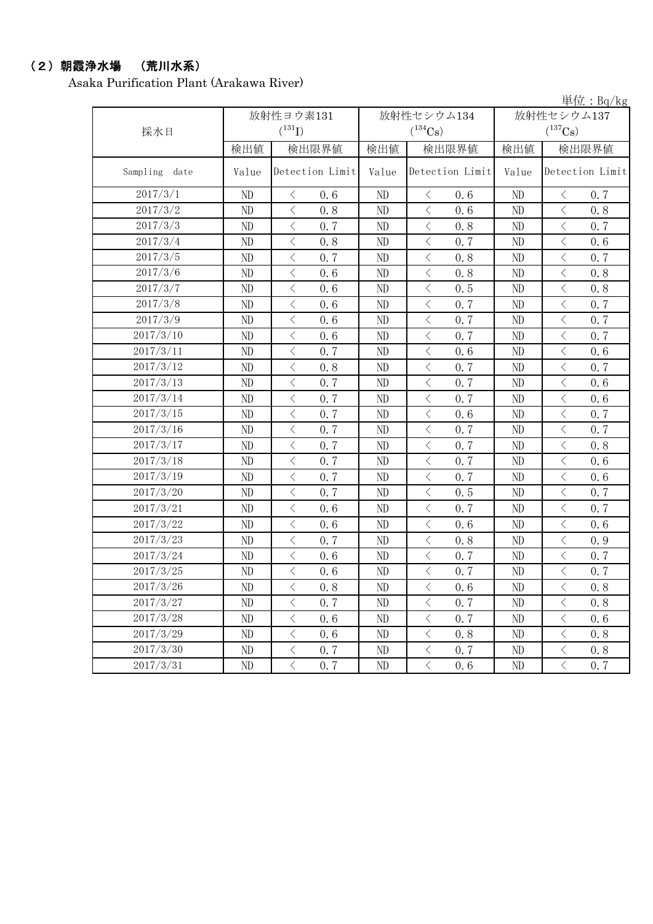### (2)朝霞浄水場 (荒川水系)

Asaka Purification Plant (Arakawa River)

|               |          |                                                 |          |                                                 | $+1$ $\mu$ . Dy $R_5$ |                                                                                                                                                                      |  |
|---------------|----------|-------------------------------------------------|----------|-------------------------------------------------|-----------------------|----------------------------------------------------------------------------------------------------------------------------------------------------------------------|--|
|               |          | 放射性ヨウ素131                                       |          | 放射性セシウム134                                      | 放射性セシウム137            |                                                                                                                                                                      |  |
| 採水日           |          | $(^{131}I)$                                     |          | $(^{134}Cs)$                                    |                       | $(^{137}Cs)$                                                                                                                                                         |  |
|               | 検出値      | 検出限界値                                           | 検出値      | 検出限界値                                           | 検出値                   | 検出限界値                                                                                                                                                                |  |
| Sampling date | Value    | Detection Limit                                 | Value    | Detection Limit                                 | Value                 | Detection Limit                                                                                                                                                      |  |
| 2017/3/1      | ND       | $\langle$<br>0.6                                | ND       | $\langle$<br>0.6                                | ND                    | $\langle$<br>0, 7                                                                                                                                                    |  |
| 2017/3/2      | ND       | $\langle$<br>0.8                                | ND       | $\langle$<br>0.6                                | ND                    | $\overline{\left\langle \right\rangle }$<br>0.8                                                                                                                      |  |
| 2017/3/3      | ND       | $\langle$<br>0.7                                | ND       | $\overline{\left\langle \right\rangle }$<br>0.8 | ND                    | $\,$ $\,$ $\,$<br>0.7                                                                                                                                                |  |
| 2017/3/4      | $\rm ND$ | $\, <\,$<br>0.8                                 | ND       | $\bigg\langle$<br>0.7                           | ND                    | $\langle$<br>0.6                                                                                                                                                     |  |
| 2017/3/5      | ND       | $\, <\,$<br>0.7                                 | ND       | $\lt$<br>0.8                                    | ND                    | $\lt$<br>0.7                                                                                                                                                         |  |
| 2017/3/6      | ND       | $\langle$<br>0.6                                | ND       | 0.8<br>$\langle$                                | ND                    | $\lt$<br>0.8                                                                                                                                                         |  |
| 2017/3/7      | ND       | $\langle$<br>0.6                                | ND       | $\langle$<br>0.5                                | ND                    | $\,$ $\,$ $\,$<br>0.8                                                                                                                                                |  |
| 2017/3/8      | $\rm ND$ | $\langle$<br>0.6                                | ND       | $\langle$<br>0.7                                | ND                    | $\langle$<br>0.7                                                                                                                                                     |  |
| 2017/3/9      | $\rm ND$ | $\langle$<br>0.6                                | ND       | 0.7<br>$\langle$                                | ND                    | $\overline{\left\langle \right\rangle }$<br>0.7                                                                                                                      |  |
| 2017/3/10     | ND       | $\lt$<br>0.6                                    | ND       | $\langle$<br>0.7                                | ND                    | $\lt$<br>0.7                                                                                                                                                         |  |
| 2017/3/11     | ND       | $\overline{\left\langle \right\rangle }$<br>0.7 | ND       | $\overline{\left\langle \right\rangle }$<br>0.6 | ND                    | $\overline{\left\langle \right\rangle }$<br>0.6                                                                                                                      |  |
| 2017/3/12     | ND       | $\hspace{0.1cm}\big\langle$<br>0.8              | ND       | $\overline{\left\langle \right\rangle }$<br>0.7 | ND                    | $\langle$<br>0.7                                                                                                                                                     |  |
| 2017/3/13     | ND       | $\overline{\left\langle \right\rangle }$<br>0.7 | ND       | $\overline{\left\langle \right\rangle }$<br>0.7 | ND                    | $\overline{\left\langle \right\rangle }$<br>0.6                                                                                                                      |  |
| 2017/3/14     | ND       | $\,$ $\,$ $\,$<br>0.7                           | ND       | $\,$ $\,$ $\,$<br>0.7                           | ND                    | $\lt$<br>0.6                                                                                                                                                         |  |
| 2017/3/15     | ND       | $\langle$<br>0.7                                | ND       | $\langle$<br>0.6                                | ND                    | $\langle$<br>0.7                                                                                                                                                     |  |
| 2017/3/16     | ND       | $\overline{\langle}$<br>0.7                     | ND       | $\overline{\left\langle \right\rangle }$<br>0.7 | ND                    | $\overline{\left\langle \right\rangle }$<br>0.7                                                                                                                      |  |
| 2017/3/17     | $\rm ND$ | $\overline{\left\langle \right\rangle }$<br>0.7 | $\rm ND$ | $\langle$<br>0.7                                | $\rm ND$              | $\overline{\left\langle \right. }% ,\left\langle \overline{\left\langle \right. }% ,\left\langle \overline{\left\langle \right\rangle }\right\rangle \right.$<br>0.8 |  |
| 2017/3/18     | $\rm ND$ | $\lt$<br>0.7                                    | $\rm ND$ | $\lt$<br>0.7                                    | ND                    | $\lt$<br>0.6                                                                                                                                                         |  |
| 2017/3/19     | ND       | $\langle$<br>0.7                                | ND       | $\overline{\left\langle \right\rangle }$<br>0.7 | ND                    | $\lt$<br>0.6                                                                                                                                                         |  |
| 2017/3/20     | ND       | $\,$ $\,$ $\,$<br>0.7                           | ND       | $\,$ $\,$ $\,$<br>0.5                           | ND                    | $\lt$<br>0.7                                                                                                                                                         |  |
| 2017/3/21     | ND       | $\,$ $\,$ $\,$<br>0.6                           | ND       | $\lt$<br>0.7                                    | ND                    | $\lt$<br>0.7                                                                                                                                                         |  |
| 2017/3/22     | ND       | $\langle$<br>0.6                                | ND       | $\langle$<br>0.6                                | ND                    | $\langle$<br>0.6                                                                                                                                                     |  |
| 2017/3/23     | ND       | $\overline{\left\langle \right\rangle }$<br>0.7 | ND       | $\langle$<br>0.8                                | $\rm ND$              | $\overline{\left\langle \right\rangle }$<br>0.9                                                                                                                      |  |
| 2017/3/24     | $\rm ND$ | $\langle$<br>0.6                                | ND       | 0.7<br>$\langle$                                | $\rm ND$              | $\lt$<br>0.7                                                                                                                                                         |  |
| 2017/3/25     | ND       | $\lt$<br>0.6                                    | ND       | $\lt$<br>0.7                                    | ND                    | $\lt$<br>0.7                                                                                                                                                         |  |
| 2017/3/26     | ND       | $\langle$<br>0.8                                | ND       | $\overline{\left\langle \right\rangle }$<br>0.6 | ND                    | $\lt$<br>0.8                                                                                                                                                         |  |
| 2017/3/27     | ND       | $\,$ $\,$ $\,$<br>0.7                           | ND       | $\langle$<br>0.7                                | ND                    | $\lt$<br>0.8                                                                                                                                                         |  |
| 2017/3/28     | ND       | $\,$ $\,$ $\,$<br>0.6                           | ND       | $\langle$<br>0.7                                | ND                    | $\langle$<br>0.6                                                                                                                                                     |  |
| 2017/3/29     | ND       | $\langle$<br>0.6                                | ND       | $\langle$<br>0.8                                | ND                    | $\langle$<br>0.8                                                                                                                                                     |  |
| 2017/3/30     | ND       | $\,$ $\,$ $\,$<br>0.7                           | ND       | $\langle$<br>0.7                                | ND                    | $\hspace{0.1cm}\big\langle$<br>0.8                                                                                                                                   |  |
| 2017/3/31     | ND       | $\overline{\langle}$<br>0.7                     | ND       | $\langle$<br>0.6                                | ND                    | $\overline{\langle}$<br>0.7                                                                                                                                          |  |

単位:Bq/kg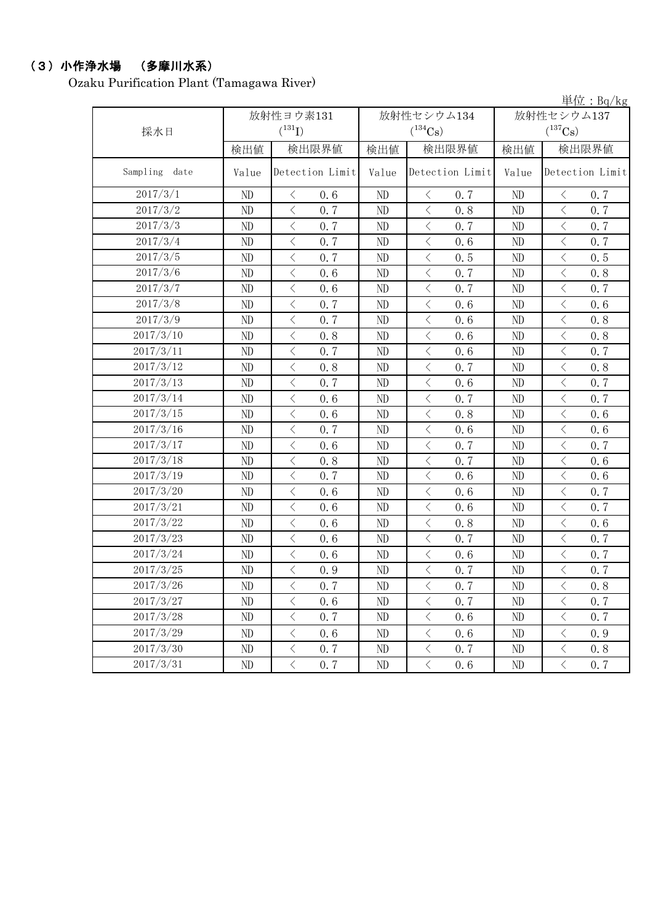## (3)小作浄水場 (多摩川水系)

Ozaku Purification Plant (Tamagawa River)

|                  |          |                                                 |          |                                                                                                               |            | 単位: Bq/kg                                       |
|------------------|----------|-------------------------------------------------|----------|---------------------------------------------------------------------------------------------------------------|------------|-------------------------------------------------|
|                  |          | 放射性ヨウ素131                                       |          | 放射性セシウム134                                                                                                    | 放射性セシウム137 |                                                 |
| 採水日              |          | $(^{131}I)$                                     |          | $(^{134}Cs)$                                                                                                  |            | $(^{137}\mathrm{Cs})$                           |
|                  | 検出値      | 検出限界値                                           | 検出値      | 検出限界値<br>検出値                                                                                                  |            | 検出限界値                                           |
| Sampling<br>date | Value    | Detection Limit                                 | Value    | Detection Limit                                                                                               | Value      | Detection Limit                                 |
| 2017/3/1         | ND       | 0.6<br>$\langle$                                | ND       | 0.7<br>$\lt$                                                                                                  | ND         | 0.7<br>$\langle$                                |
| 2017/3/2         | ND       | $\langle$<br>0.7                                | ND       | $\big\langle$<br>0.8                                                                                          | ND         | $\langle$<br>0.7                                |
| 2017/3/3         | ND       | $\langle$<br>0.7                                | ND       | $\langle$<br>0.7                                                                                              | ND         | $\langle$<br>0.7                                |
| 2017/3/4         | ND       | $\langle$<br>0.7                                | ND       | $\langle$<br>0.6                                                                                              | ND         | $\langle$<br>0.7                                |
| 2017/3/5         | ND       | $\langle$<br>0.7                                | ND       | $\langle$<br>0.5                                                                                              | ND         | $\langle$<br>0.5                                |
| 2017/3/6         | ND       | $\langle$<br>0.6                                | ND       | $\lt$<br>0.7                                                                                                  | ND         | $\langle$<br>0.8                                |
| 2017/3/7         | ND       | $\langle$<br>0.6                                | ND       | $\,$ $\,$ $\,$<br>0.7                                                                                         | ND         | $\langle$<br>0.7                                |
| 2017/3/8         | ND       | $\overline{\left\langle \right\rangle }$<br>0.7 | ND       | $\,$ $\,$ $\,$<br>0.6                                                                                         | ND         | $\lt$<br>0.6                                    |
| 2017/3/9         | ND       | $\langle$<br>0.7                                | ND       | $\langle$<br>0.6                                                                                              | ND         | $\langle$<br>0.8                                |
| 2017/3/10        | ND       | $\langle$<br>0.8                                | ND       | $\langle$<br>0.6                                                                                              | ND         | $\langle$<br>0.8                                |
| 2017/3/11        | ND       | $\langle$<br>0.7                                | ND       | $\lt$<br>0.6                                                                                                  | ND         | $\lt$<br>0.7                                    |
| 2017/3/12        | ND       | $\langle$<br>0.8                                | ND       | 0.7<br>$\langle$                                                                                              | $\rm ND$   | $\langle$<br>0.8                                |
| 2017/3/13        | ND       | $\langle$<br>0.7                                | ND       | $\langle$<br>0.6                                                                                              | ND         | $\langle$<br>0.7                                |
| 2017/3/14        | ND       | $\langle$<br>0.6                                | ND       | $\lt$<br>0.7                                                                                                  | ND         | $\langle$<br>0.7                                |
| 2017/3/15        | ND       | $\langle$<br>0.6                                | ND       | $\,$ $\,$ $\,$<br>0.8                                                                                         | ND         | $\lt$<br>0.6                                    |
| 2017/3/16        | ND       | $\langle$<br>0.7                                | ND       | $\langle$<br>0.6                                                                                              | ND         | $\overline{\left\langle \right\rangle }$<br>0.6 |
| 2017/3/17        | ND       | $\langle$<br>0.6                                | ND       | 0.7<br>$\langle$                                                                                              | ND         | $\langle$<br>0.7                                |
| 2017/3/18        | ND       | $\langle$<br>0.8                                | ND       | $\langle$<br>0.7                                                                                              | ND         | $\langle$<br>0.6                                |
| 2017/3/19        | ND       | $\langle$<br>0.7                                | ND       | $\hspace{0.1mm}\mathopen{\begin{array}{c}\mathopen{\fbox{$\scriptstyle<\}}\end{array}}\hspace{-0.1mm}$<br>0.6 | ND         | $\langle$<br>0.6                                |
| 2017/3/20        | ND       | $\langle$<br>0.6                                | ND       | $\langle$<br>0.6                                                                                              | ND         | $\langle$<br>0.7                                |
| 2017/3/21        | ND       | $\langle$<br>0.6                                | ND       | $\langle$<br>0.6                                                                                              | ND         | $\langle$<br>0.7                                |
| 2017/3/22        | ND       | $\langle$<br>0.6                                | ND       | $\langle$<br>0.8                                                                                              | ND         | $\langle$<br>0.6                                |
| 2017/3/23        | ND       | 0.6<br>$\langle$                                | ND       | 0.7<br>$\langle$                                                                                              | $\rm ND$   | 0.7<br>$\langle$                                |
| 2017/3/24        | ND       | $\langle$<br>0.6                                | ND       | $\langle$<br>0.6                                                                                              | ND         | $\langle$<br>0.7                                |
| 2017/3/25        | ND       | $\langle$<br>0.9                                | ND       | $\langle$<br>0.7                                                                                              | ND         | $\hspace{0.1mm}\big\langle$<br>0.7              |
| 2017/3/26        | $\rm ND$ | 0.7<br>$\, \leq$                                | $\rm ND$ | $\langle$<br>0.7                                                                                              | $\rm ND$   | $\bigl\langle$<br>0.8                           |
| 2017/3/27        | ND       | $\lt$<br>0.6                                    | ND       | $\lt$<br>0.7                                                                                                  | ND         | $\langle$<br>0.7                                |
| 2017/3/28        | ND       | $\langle$<br>0.7                                | ND       | $\langle$<br>0.6                                                                                              | ND         | $\langle$<br>0.7                                |
| 2017/3/29        | ND       | $\langle$<br>0.6                                | ND       | $\langle$<br>0.6                                                                                              | ND         | $\langle$<br>0.9                                |
| 2017/3/30        | ND       | $\langle$<br>0, 7                               | ND       | 0.7<br>$\langle$                                                                                              | ND         | $\langle$<br>0, 8                               |
| 2017/3/31        | ND       | $\langle$<br>0, 7                               | $\rm ND$ | $\langle$<br>0.6                                                                                              | $\rm ND$   | $\langle$<br>0, 7                               |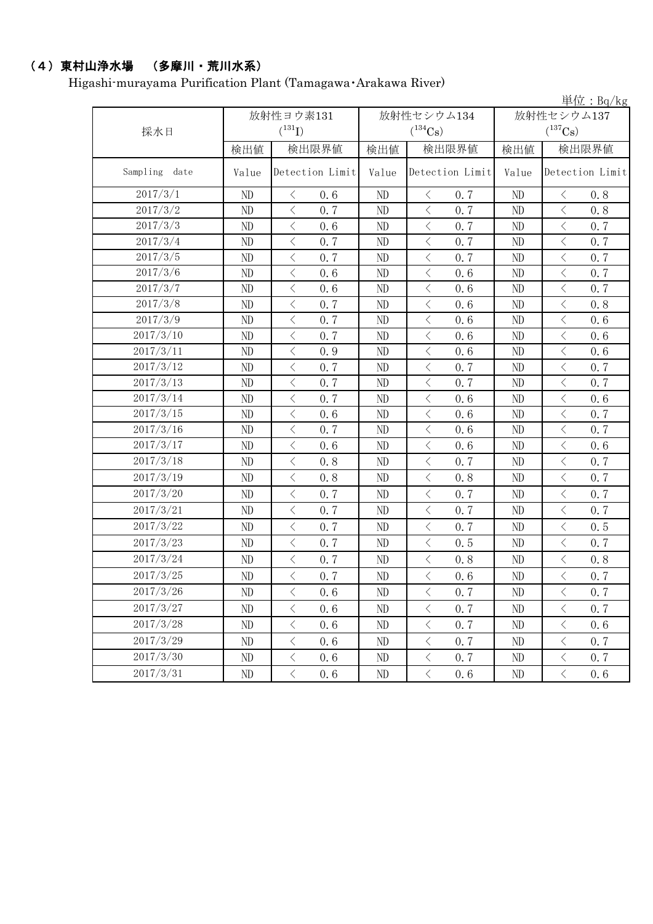## (4)東村山浄水場 (多摩川・荒川水系)

Higashi-murayama Purification Plant (Tamagawa・Arakawa River)

|                  |          |                                                 | 単位: Bq/kg |                       |            |                                                 |  |
|------------------|----------|-------------------------------------------------|-----------|-----------------------|------------|-------------------------------------------------|--|
|                  |          | 放射性ヨウ素131                                       |           | 放射性セシウム134            | 放射性セシウム137 |                                                 |  |
| 採水日              |          | $(^{131}I)$                                     |           | $(^{134}Cs)$          |            | $(^{137}\mathrm{Cs})$                           |  |
|                  | 検出値      | 検出限界値                                           | 検出値       | 検出限界値                 | 検出値        | 検出限界値                                           |  |
| Sampling<br>date | Value    | Detection Limit                                 | Value     | Detection Limit       | Value      | Detection Limit                                 |  |
| 2017/3/1         | ND       | 0.6<br>$\langle$                                | ND        | $\langle$<br>0.7      | ND         | 0.8<br>$\lt$                                    |  |
| 2017/3/2         | ND       | $\langle$<br>0.7                                | ND        | $\langle$<br>0.7      | ND         | $\langle$<br>0.8                                |  |
| 2017/3/3         | ND       | $\overline{\left\langle \right\rangle }$<br>0.6 | ND        | 0.7<br>$\langle$      | ND         | $\langle$<br>0.7                                |  |
| 2017/3/4         | ND       | $\langle$<br>0.7                                | ND        | $\langle$<br>0.7      | ND         | $\langle$<br>0.7                                |  |
| 2017/3/5         | ND       | $\langle$<br>0.7                                | ND        | 0.7<br>$\lt$          | ND         | $\langle$<br>0.7                                |  |
| 2017/3/6         | ND       | $\langle$<br>0.6                                | ND        | $\langle$<br>0.6      | ND         | $\langle$<br>0.7                                |  |
| 2017/3/7         | ND       | $\langle$<br>0.6                                | ND        | $\lt$<br>0.6          | ND         | $\langle$<br>0.7                                |  |
| 2017/3/8         | ND       | $\langle$<br>0.7                                | ND        | 0.6<br>$\langle$      | ND         | $\langle$<br>0.8                                |  |
| 2017/3/9         | ND       | $\langle$<br>0.7                                | ND        | $\langle$<br>0.6      | ND         | $\langle$<br>0.6                                |  |
| 2017/3/10        | ND       | $\langle$<br>0.7                                | ND        | $\langle$<br>0.6      | ND         | $\langle$<br>0.6                                |  |
| 2017/3/11        | ND       | $\,$ $\,$ $\,$<br>0.9                           | ND        | $\lt$<br>0.6          | ND         | $\langle$<br>0.6                                |  |
| 2017/3/12        | ND       | $\overline{\left\langle \right\rangle }$<br>0.7 | ND        | $\langle$<br>0.7      | ND         | $\overline{\left\langle \right\rangle }$<br>0.7 |  |
| 2017/3/13        | ND       | $\langle$<br>0.7                                | ND        | $\langle$<br>0.7      | ND         | $\langle$<br>0.7                                |  |
| 2017/3/14        | ND       | $\langle$<br>0.7                                | ND        | $\langle$<br>0.6      | ND         | $\langle$<br>0.6                                |  |
| 2017/3/15        | ND       | $\big\langle$<br>0.6                            | ND        | 0.6<br>$\langle$      | ND         | $\langle$<br>0.7                                |  |
| 2017/3/16        | ND       | $\langle$<br>0.7                                | ND        | $\langle$<br>0.6      | ND         | $\langle$<br>0.7                                |  |
| 2017/3/17        | ND       | $\langle$<br>0.6                                | ND        | $\langle$<br>0.6      | ND         | $\langle$<br>0.6                                |  |
| 2017/3/18        | ND       | $\langle$<br>0.8                                | ND        | $\langle$<br>0.7      | ND         | $\langle$<br>0.7                                |  |
| 2017/3/19        | ND       | $\langle$<br>0.8                                | ND        | $\langle$<br>0.8      | ND         | $\langle$<br>0.7                                |  |
| 2017/3/20        | ND       | $\langle$<br>0.7                                | ND        | 0.7<br>$\lt$          | ND         | $\langle$<br>0.7                                |  |
| 2017/3/21        | ND       | $\langle$<br>0.7                                | ND        | $\langle$<br>0.7      | ND         | $\langle$<br>0.7                                |  |
| 2017/3/22        | ND       | $\langle$<br>0.7                                | ND        | $\langle$<br>0.7      | ND         | $\langle$<br>0.5                                |  |
| 2017/3/23        | ND       | $\langle$<br>0.7                                | ND        | $\langle$<br>0.5      | ND         | $\langle$<br>0.7                                |  |
| 2017/3/24        | ND       | $\big\langle$<br>0.7                            | ND        | $\langle$<br>0.8      | ND         | $\langle$<br>0.8                                |  |
| 2017/3/25        | ND       | $\langle$<br>0.7                                | ND        | $\langle$<br>0.6      | ND         | $\langle$<br>0.7                                |  |
| 2017/3/26        | ND       | 0.6<br>$\langle$                                | ND        | 0.7<br>$\langle$      | ND         | 0.7<br>$\langle$                                |  |
| 2017/3/27        | ND       | $\langle$<br>0.6                                | ND        | $\bigl\langle$<br>0.7 | $\rm ND$   | $\langle$<br>0.7                                |  |
| 2017/3/28        | ND       | $\langle$<br>0.6                                | ND        | $\langle$<br>0.7      | ND         | $\langle$<br>0.6                                |  |
| 2017/3/29        | ND       | $\langle$<br>0.6                                | ND        | $\, <\,$<br>0.7       | ND         | $\bigl\langle$<br>0.7                           |  |
| 2017/3/30        | ND       | $\langle$<br>0.6                                | ND        | $\lt$<br>0.7          | ND         | $\langle$<br>0, 7                               |  |
| 2017/3/31        | $\rm ND$ | $\langle$<br>0.6                                | ND        | $\langle$<br>$0.6\,$  | $\rm ND$   | $\langle$<br>0.6                                |  |
|                  |          |                                                 |           |                       |            |                                                 |  |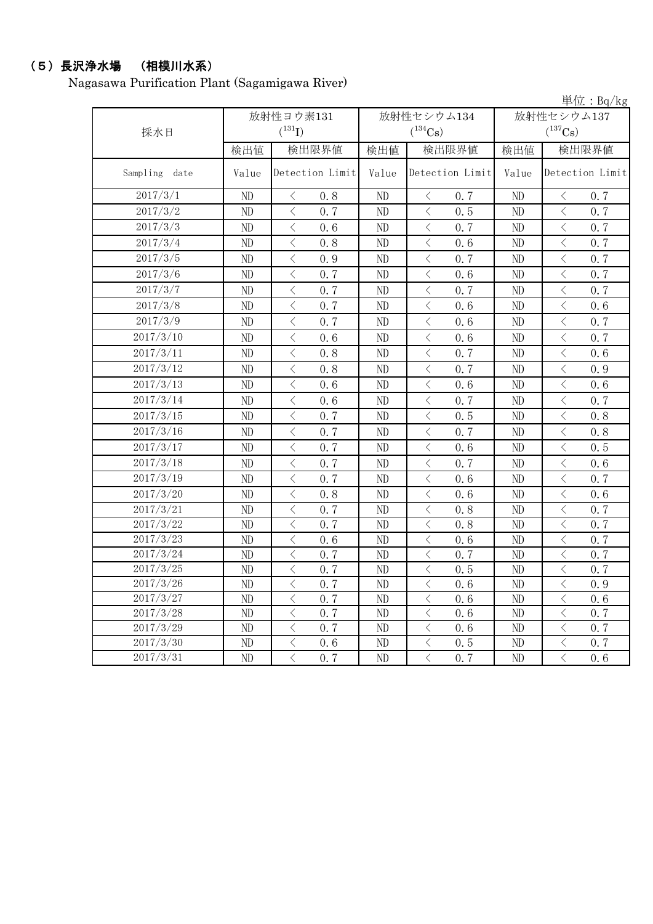## (5)長沢浄水場 (相模川水系)

Nagasawa Purification Plant (Sagamigawa River)

単位:Bq/kg

|               |          | 放射性ヨウ素131                                       |       | 放射性セシウム134                                      | 放射性セシウム137     |                                                 |  |
|---------------|----------|-------------------------------------------------|-------|-------------------------------------------------|----------------|-------------------------------------------------|--|
| 採水日           |          | $(^{131}I)$                                     |       | $(^{134}Cs)$                                    |                | $(^{137}\mathrm{Cs})$                           |  |
|               | 検出値      | 検出限界値                                           | 検出値   | 検出限界値                                           | 検出値            | 検出限界値                                           |  |
| Sampling date | Value    | Detection Limit                                 | Value | Detection Limit                                 | Value          | Detection Limit                                 |  |
| 2017/3/1      | $\rm ND$ | $\langle$<br>0.8                                | ND    | $\,$ $\,$ $\,$<br>0.7                           | ND             | $\,$ $\,$ $\,$<br>0.7                           |  |
| 2017/3/2      | ND       | $\langle$<br>0.7                                | ND    | $\langle$<br>0.5                                | ND             | $\langle$<br>0.7                                |  |
| 2017/3/3      | ND       | $\langle$<br>0, 6                               | ND    | $\lt$<br>0.7                                    | N <sub>D</sub> | $\overline{\left\langle \right\rangle }$<br>0.7 |  |
| 2017/3/4      | ND       | $\lt$<br>0.8                                    | ND    | $\lt$<br>0.6                                    | ND             | $\lt$<br>0.7                                    |  |
| 2017/3/5      | $\rm ND$ | $\langle$<br>0.9                                | ND    | $\lt$<br>0.7                                    | ND             | $\langle$<br>0.7                                |  |
| 2017/3/6      | $\rm ND$ | $\langle$<br>0.7                                | ND    | $\langle$<br>0.6                                | ND             | $\langle$<br>0.7                                |  |
| 2017/3/7      | ND       | $\lt$<br>0.7                                    | ND    | $\langle$<br>0.7                                | ND             | $\,$ $\,$ $\,$<br>0.7                           |  |
| 2017/3/8      | ND       | $\overline{\left\langle \right\rangle }$<br>0.7 | ND    | $\langle$<br>0.6                                | $\rm ND$       | $\langle$<br>0.6                                |  |
| 2017/3/9      | ND       | $\lt$<br>0.7                                    | ND    | $\lt$<br>0.6                                    | ND             | $\lt$<br>0.7                                    |  |
| 2017/3/10     | ND       | $\langle$<br>0.6                                | ND    | $\langle$<br>0.6                                | ND             | $\langle$<br>0.7                                |  |
| 2017/3/11     | ND       | $\langle$<br>0.8                                | ND    | $\langle$<br>0.7                                | ND             | $\langle$<br>0.6                                |  |
| 2017/3/12     | $\rm ND$ | $\langle$<br>0.8                                | ND    | $\langle$<br>0.7                                | N <sub>D</sub> | $\lt$<br>0.9                                    |  |
| 2017/3/13     | ND       | $\lt$<br>0.6                                    | ND    | $\lt$<br>0, 6                                   | ND             | $\,$ $\,$ $\,$<br>0.6                           |  |
| 2017/3/14     | ND       | $\lt$<br>0.6                                    | ND    | $\,$ $\,$ $\,$<br>0.7                           | $\rm ND$       | $\lt$<br>0.7                                    |  |
| 2017/3/15     | ND       | $\langle$<br>0.7                                | ND    | $\langle$<br>0.5                                | ND             | $\langle$<br>0.8                                |  |
| 2017/3/16     | ND       | $\langle$<br>0.7                                | ND    | $\lt$<br>0.7                                    | $\rm ND$       | $\langle$<br>0.8                                |  |
| 2017/3/17     | ND       | $\langle$<br>0.7                                | ND    | $\langle$<br>0.6                                | ND             | $\langle$<br>0.5                                |  |
| 2017/3/18     | ND       | $\overline{\left\langle \right\rangle }$<br>0.7 | ND    | $\langle$<br>0.7                                | $\rm ND$       | $\langle$<br>0.6                                |  |
| 2017/3/19     | ND       | $\overline{\left\langle \right\rangle }$<br>0.7 | ND    | $\,$ $\,$ $\,$<br>0.6                           | $\rm ND$       | $\,$ $\,$ $\,$<br>0.7                           |  |
| 2017/3/20     | ND       | $\overline{\left\langle \right\rangle }$<br>0.8 | ND    | $\,$ $\,$ $\,$<br>0.6                           | ND             | $\,$ $\,$ $\,$<br>0.6                           |  |
| 2017/3/21     | ND       | $\overline{\left\langle \right\rangle }$<br>0.7 | ND    | $\overline{\left\langle \right\rangle }$<br>0.8 | ND             | $\overline{\left\langle \right\rangle }$<br>0.7 |  |
| 2017/3/22     | ND       | $\overline{\left\langle \right\rangle }$<br>0.7 | ND    | $\langle$<br>0.8                                | ND             | $\overline{\left\langle \right\rangle }$<br>0.7 |  |
| 2017/3/23     | ND       | $\overline{\left\langle \right\rangle }$<br>0.6 | ND    | $\lt$<br>0.6                                    | ND             | $\lt$<br>0.7                                    |  |
| 2017/3/24     | ND       | $\langle$<br>0, 7                               | ND    | $\langle$<br>0.7                                | ND             | $\langle$<br>0.7                                |  |
| 2017/3/25     | ND       | $\lt$<br>0.7                                    | ND    | $\,$ $\,$ $\,$<br>0.5                           | ND             | $\,$ $\,$ $\,$<br>0.7                           |  |
| 2017/3/26     | ND       | $\langle$<br>0, 7                               | ND    | $\langle$<br>0.6                                | ND             | $\langle$<br>0.9                                |  |
| 2017/3/27     | ND       | $\langle$<br>0.7                                | ND    | $\lt$<br>0.6                                    | ND             | $\lt$<br>0.6                                    |  |
| 2017/3/28     | ND       | $\overline{\left\langle \right\rangle }$<br>0.7 | ND    | $\overline{\left\langle \right\rangle }$<br>0.6 | ND             | $\overline{\left\langle \right\rangle }$<br>0.7 |  |
| 2017/3/29     | ND       | $\overline{\left\langle \right\rangle }$<br>0.7 | ND    | $\langle$<br>0.6                                | ND             | $\langle$<br>0.7                                |  |
| 2017/3/30     | ND       | $\lt$<br>0.6                                    | ND    | $\langle$<br>0.5                                | ND             | $\langle$<br>0.7                                |  |
| 2017/3/31     | ND       | $\langle$<br>0.7                                | ND    | $\langle$<br>0.7                                | ND             | $\overline{\left\langle \right\rangle }$<br>0.6 |  |